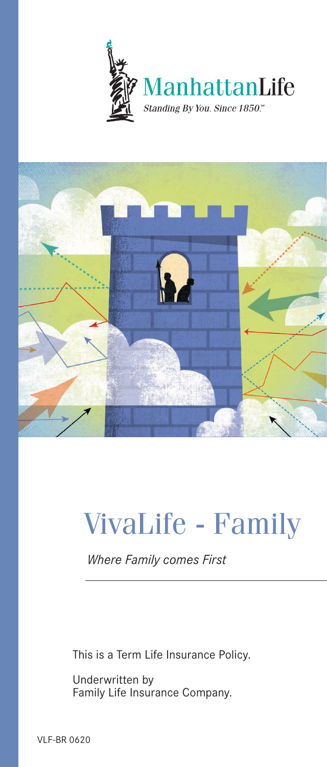



# VivaLife - Family

*Where Family comes First*

This is a Term Life Insurance Policy.

Underwritten by Family Life Insurance Company.

VLF-BR 0620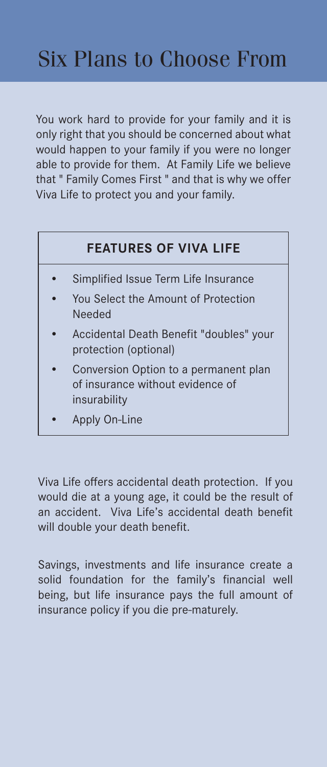You work hard to provide for your family and it is only right that you should be concerned about what would happen to your family if you were no longer able to provide for them. At Family Life we believe that " Family Comes First " and that is why we offer Viva Life to protect you and your family.

#### **FEATURES OF VIVA LIFE**

- Simplified Issue Term Life Insurance
- You Select the Amount of Protection Needed
- Accidental Death Benefit "doubles" your protection (optional)
- Conversion Option to a permanent plan of insurance without evidence of insurability
- Apply On-Line

Viva Life offers accidental death protection. If you would die at a young age, it could be the result of an accident. Viva Life's accidental death benefit will double your death benefit.

Savings, investments and life insurance create a solid foundation for the family's financial well being, but life insurance pays the full amount of insurance policy if you die pre-maturely.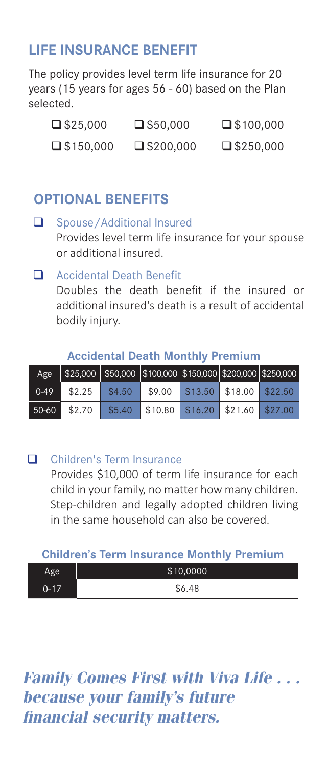### **LIFE INSURANCE BENEFIT**

The policy provides level term life insurance for 20 years (15 years for ages 56 - 60) based on the Plan selected.

| $\square$ \$25,000  | $\square$ \$50,000  | $\square$ \$100,000 |
|---------------------|---------------------|---------------------|
| $\square$ \$150,000 | $\square$ \$200,000 | $\square$ \$250,000 |

### **OPTIONAL BENEFITS**

#### Spouse/Additional Insured Provides level term life insurance for your spouse or additional insured.

#### Accidental Death Benefit

Doubles the death benefit if the insured or additional insured's death is a result of accidental bodily injury.

#### **Accidental Death Monthly Premium**

| Age      |        |        |                                               |                                    | \$25,000 \$50,000 \$100,000 \$150,000 \$200,000 \$250,000 |
|----------|--------|--------|-----------------------------------------------|------------------------------------|-----------------------------------------------------------|
| $0 - 49$ | \$2.25 | \$4.50 |                                               | $$9.00$ $$13.50$ $$18.00$ $$22.50$ |                                                           |
| 50-60    | \$2.70 | \$5.40 | $\frac{1}{2}$ \$10.80 \$16.20 \$21.60 \$27.00 |                                    |                                                           |

#### **Q** Children's Term Insurance

Provides \$10,000 of term life insurance for each child in your family, no matter how many children. Step-children and legally adopted children living in the same household can also be covered.

#### **Children's Term Insurance Monthly Premium**

| $\sigma$ $\Delta$ | \$10,0000 |
|-------------------|-----------|
| $-17$<br>ᄱ        | \$6.48    |

### *Family Comes First with Viva Life . . . because your family's future financial security matters.*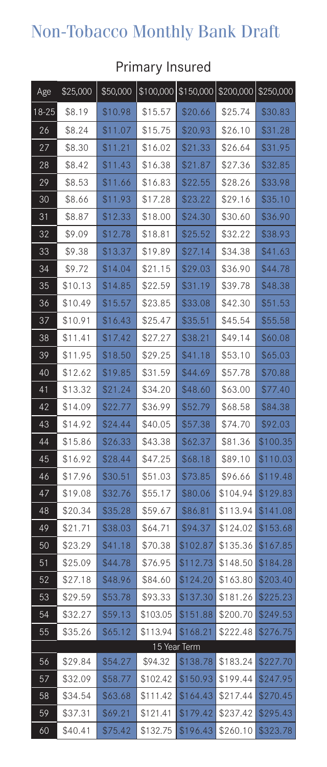## Non-Tobacco Monthly Bank Draft

| Age             | \$25,000 | \$50,000 |          | \$100,000 \$150,000 | \$200,000 \$250,000 |          |
|-----------------|----------|----------|----------|---------------------|---------------------|----------|
| 18-25           | \$8.19   | \$10.98  | \$15.57  | \$20.66             | \$25.74             | \$30.83  |
| 26              | \$8.24   | \$11.07  | \$15.75  | \$20.93             | \$26.10             | \$31.28  |
| 27              | \$8.30   | \$11.21  | \$16.02  | \$21.33             | \$26.64             | \$31.95  |
| 28              | \$8.42   | \$11.43  | \$16.38  | \$21.87             | \$27.36             | \$32.85  |
| 29              | \$8.53   | \$11.66  | \$16.83  | \$22.55             | \$28.26             | \$33.98  |
| 30              | \$8.66   | \$11.93  | \$17.28  | \$23.22             | \$29.16             | \$35.10  |
| 31              | \$8.87   | \$12.33  | \$18.00  | \$24.30             | \$30.60             | \$36.90  |
| 32              | \$9.09   | \$12.78  | \$18.81  | \$25.52             | \$32.22             | \$38.93  |
| 33              | \$9.38   | \$13.37  | \$19.89  | \$27.14             | \$34.38             | \$41.63  |
| 34              | \$9.72   | \$14.04  | \$21.15  | \$29.03             | \$36.90             | \$44.78  |
| 35              | \$10.13  | \$14.85  | \$22.59  | \$31.19             | \$39.78             | \$48.38  |
| 36              | \$10.49  | \$15.57  | \$23.85  | \$33.08             | \$42.30             | \$51.53  |
| 37              | \$10.91  | \$16.43  | \$25.47  | \$35.51             | \$45.54             | \$55.58  |
| 38              | \$11.41  | \$17.42  | \$27.27  | \$38.21             | \$49.14             | \$60.08  |
| 39              | \$11.95  | \$18.50  | \$29.25  | \$41.18             | \$53.10             | \$65.03  |
| 40              | \$12.62  | \$19.85  | \$31.59  | \$44.69             | \$57.78             | \$70.88  |
| 41              | \$13.32  | \$21.24  | \$34.20  | \$48.60             | \$63.00             | \$77.40  |
| 42              | \$14.09  | \$22.77  | \$36.99  | \$52.79             | \$68.58             | \$84.38  |
| 43              | \$14.92  | \$24.44  | \$40.05  | \$57.38             | \$74.70             | \$92.03  |
| 44              | \$15.86  | \$26.33  | \$43.38  | \$62.37             | \$81.36             | \$100.35 |
| 45              | \$16.92  | \$28.44  | \$47.25  | \$68.18             | \$89.10             | \$110.03 |
| 46              | \$17.96  | \$30.51  | \$51.03  | \$73.85             | \$96.66             | \$119.48 |
| $\overline{47}$ | \$19.08  | \$32.76  | \$55.17  | \$80.06             | \$104.94            | \$129.83 |
| 48              | \$20.34  | \$35.28  | \$59.67  | \$86.81             | \$113.94            | \$141.08 |
| 49              | \$21.71  | \$38.03  | \$64.71  | \$94.37             | \$124.02            | \$153.68 |
| 50              | \$23.29  | \$41.18  | \$70.38  | \$102.87            | \$135.36            | \$167.85 |
| 51              | \$25.09  | \$44.78  | \$76.95  | \$112.73            | \$148.50            | \$184.28 |
| 52              | \$27.18  | \$48.96  | \$84.60  | \$124.20            | \$163.80            | \$203.40 |
| 53              | \$29.59  | \$53.78  | \$93.33  | \$137.30            | \$181.26            | \$225.23 |
| 54              | \$32.27  | \$59.13  | \$103.05 | \$151.88            | \$200.70            | \$249.53 |
| 55              | \$35.26  | \$65.12  | \$113.94 | \$168.21            | \$222.48            | \$276.75 |
|                 |          |          |          | 15 Year Term        |                     |          |
| 56              | \$29.84  | \$54.27  | \$94.32  | \$138.78            | \$183.24            | \$227.70 |
| 57              | \$32.09  | \$58.77  | \$102.42 | \$150.93            | \$199.44            | \$247.95 |
| 58              | \$34.54  | \$63.68  | \$111.42 | \$164.43            | \$217.44            | \$270.45 |
| 59              | \$37.31  | \$69.21  | \$121.41 | \$179.42            | \$237.42            | \$295.43 |
| 60              | \$40.41  | \$75.42  | \$132.75 | \$196.43            | \$260.10            | \$323.78 |

### Primary Insured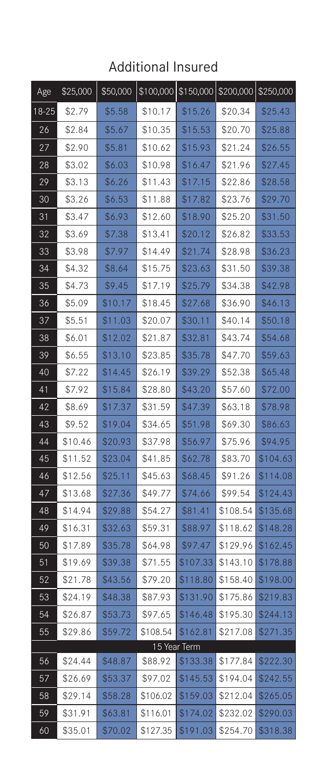### Additional Insured

| Age   | \$25,000 | \$50,000 |          | \$100,000 \$150,000 \$200,000 |          | \$250,000 |
|-------|----------|----------|----------|-------------------------------|----------|-----------|
| 18-25 | \$2.79   | \$5.58   | \$10.17  | \$15.26                       | \$20.34  | \$25.43   |
| 26    | \$2.84   | \$5.67   | \$10.35  | \$15.53                       | \$20.70  | \$25.88   |
| 27    | \$2.90   | \$5.81   | \$10.62  | \$15.93                       | \$21.24  | \$26.55   |
| 28    | \$3.02   | \$6.03   | \$10.98  | \$16.47                       | \$21.96  | \$27.45   |
| 29    | \$3.13   | \$6.26   | \$11.43  | \$17.15                       | \$22.86  | \$28.58   |
| 30    | \$3.26   | \$6.53   | \$11.88  | \$17.82                       | \$23.76  | \$29.70   |
| 31    | \$3.47   | \$6.93   | \$12.60  | \$18.90                       | \$25.20  | \$31.50   |
| 32    | \$3.69   | \$7.38   | \$13.41  | \$20.12                       | \$26.82  | \$33.53   |
| 33    | \$3.98   | \$7.97   | \$14.49  | \$21.74                       | \$28.98  | \$36.23   |
| 34    | \$4.32   | \$8.64   | \$15.75  | \$23.63                       | \$31.50  | \$39.38   |
| 35    | \$4.73   | \$9.45   | \$17.19  | \$25.79                       | \$34.38  | \$42.98   |
| 36    | \$5.09   | \$10.17  | \$18.45  | \$27.68                       | \$36.90  | \$46.13   |
| 37    | \$5.51   | \$11.03  | \$20.07  | \$30.11                       | \$40.14  | \$50.18   |
| 38    | \$6.01   | \$12.02  | \$21.87  | \$32.81                       | \$43.74  | \$54.68   |
| 39    | \$6.55   | \$13.10  | \$23.85  | \$35.78                       | \$47.70  | \$59.63   |
| 40    | \$7.22   | \$14.45  | \$26.19  | \$39.29                       | \$52.38  | \$65.48   |
| 41    | \$7.92   | \$15.84  | \$28.80  | \$43.20                       | \$57.60  | \$72.00   |
| 42    | \$8.69   | \$17.37  | \$31.59  | \$47.39                       | \$63.18  | \$78.98   |
| 43    | \$9.52   | \$19.04  | \$34.65  | \$51.98                       | \$69.30  | \$86.63   |
| 44    | \$10.46  | \$20.93  | \$37.98  | \$56.97                       | \$75.96  | \$94.95   |
| 45    | \$11.52  | \$23.04  | \$41.85  | \$62.78                       | \$83.70  | \$104.63  |
| 46    | \$12.56  | \$25.11  | \$45.63  | \$68.45                       | \$91.26  | \$114.08  |
| 47    | \$13.68  | \$27.36  | \$49.77  | \$74.66                       | \$99.54  | \$124.43  |
| 48    | \$14.94  | \$29.88  | \$54.27  | \$81.41                       | \$108.54 | \$135.68  |
| 49    | \$16.31  | \$32.63  | \$59.31  | \$88.97                       | \$118.62 | \$148.28  |
| 50    | \$17.89  | \$35.78  | \$64.98  | \$97.47                       | \$129.96 | \$162.45  |
| 51    | \$19.69  | \$39.38  | \$71.55  | \$107.33                      | \$143.10 | \$178.88  |
| 52    | \$21.78  | \$43.56  | \$79.20  | \$118.80                      | \$158.40 | \$198.00  |
| 53    | \$24.19  | \$48.38  | \$87.93  | \$131.90                      | \$175.86 | \$219.83  |
| 54    | \$26.87  | \$53.73  | \$97.65  | \$146.48                      | \$195.30 | \$244.13  |
| 55    | \$29.86  | \$59.72  | \$108.54 | \$162.81                      | \$217.08 | \$271.35  |
|       |          |          |          | 15 Year Term                  |          |           |
| 56    | \$24.44  | \$48.87  | \$88.92  | \$133.38                      | \$177.84 | \$222.30  |
| 57    | \$26.69  | \$53.37  | \$97.02  | \$145.53                      | \$194.04 | \$242.55  |
| 58    | \$29.14  | \$58.28  | \$106.02 | \$159.03                      | \$212.04 | \$265.05  |
| 59    | \$31.91  | \$63.81  | \$116.01 | \$174.02                      | \$232.02 | \$290.03  |
| 60    | \$35.01  | \$70.02  | \$127.35 | \$191.03                      | \$254.70 | \$318.38  |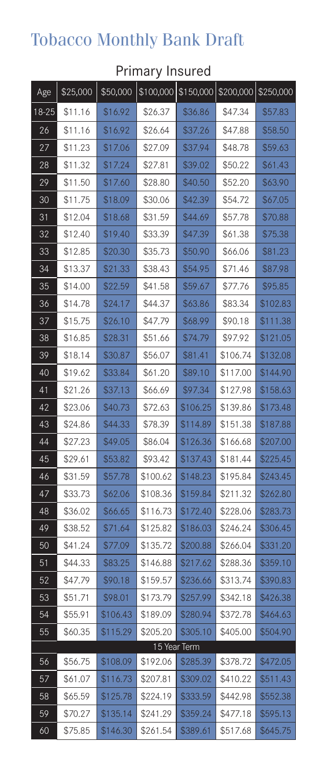# Tobacco Monthly Bank Draft

| Age   | \$25,000 | \$50,000 | \$100,000 | \$150,000    | \$200,000 \$250,000 |          |
|-------|----------|----------|-----------|--------------|---------------------|----------|
| 18-25 | \$11.16  | \$16.92  | \$26.37   | \$36.86      | \$47.34             | \$57.83  |
| 26    | \$11.16  | \$16.92  | \$26.64   | \$37.26      | \$47.88             | \$58.50  |
| 27    | \$11.23  | \$17.06  | \$27.09   | \$37.94      | \$48.78             | \$59.63  |
| 28    | \$11.32  | \$17.24  | \$27.81   | \$39.02      | \$50.22             | \$61.43  |
| 29    | \$11.50  | \$17.60  | \$28.80   | \$40.50      | \$52.20             | \$63.90  |
| 30    | \$11.75  | \$18.09  | \$30.06   | \$42.39      | \$54.72             | \$67.05  |
| 31    | \$12.04  | \$18.68  | \$31.59   | \$44.69      | \$57.78             | \$70.88  |
| 32    | \$12.40  | \$19.40  | \$33.39   | \$47.39      | \$61.38             | \$75.38  |
| 33    | \$12.85  | \$20.30  | \$35.73   | \$50.90      | \$66.06             | \$81.23  |
| 34    | \$13.37  | \$21.33  | \$38.43   | \$54.95      | \$71.46             | \$87.98  |
| 35    | \$14.00  | \$22.59  | \$41.58   | \$59.67      | \$77.76             | \$95.85  |
| 36    | \$14.78  | \$24.17  | \$44.37   | \$63.86      | \$83.34             | \$102.83 |
| 37    | \$15.75  | \$26.10  | \$47.79   | \$68.99      | \$90.18             | \$111.38 |
| 38    | \$16.85  | \$28.31  | \$51.66   | \$74.79      | \$97.92             | \$121.05 |
| 39    | \$18.14  | \$30.87  | \$56.07   | \$81.41      | \$106.74            | \$132.08 |
| 40    | \$19.62  | \$33.84  | \$61.20   | \$89.10      | \$117.00            | \$144.90 |
| 41    | \$21.26  | \$37.13  | \$66.69   | \$97.34      | \$127.98            | \$158.63 |
| 42    | \$23.06  | \$40.73  | \$72.63   | \$106.25     | \$139.86            | \$173.48 |
| 43    | \$24.86  | \$44.33  | \$78.39   | \$114.89     | \$151.38            | \$187.88 |
| 44    | \$27.23  | \$49.05  | \$86.04   | \$126.36     | \$166.68            | \$207.00 |
| 45    | \$29.61  | \$53.82  | \$93.42   | \$137.43     | \$181.44            | \$225.45 |
| 46    | \$31.59  | \$57.78  | \$100.62  | \$148.23     | \$195.84            | \$243.45 |
| 47    | \$33.73  | \$62.06  | \$108.36  | \$159.84     | \$211.32            | \$262.80 |
| 48    | \$36.02  | \$66.65  | \$116.73  | \$172.40     | \$228.06            | \$283.73 |
| 49    | \$38.52  | \$71.64  | \$125.82  | \$186.03     | \$246.24            | \$306.45 |
| 50    | \$41.24  | \$77.09  | \$135.72  | \$200.88     | \$266.04            | \$331.20 |
| 51    | \$44.33  | \$83.25  | \$146.88  | \$217.62     | \$288.36            | \$359.10 |
| 52    | \$47.79  | \$90.18  | \$159.57  | \$236.66     | \$313.74            | \$390.83 |
| 53    | \$51.71  | \$98.01  | \$173.79  | \$257.99     | \$342.18            | \$426.38 |
| 54    | \$55.91  | \$106.43 | \$189.09  | \$280.94     | \$372.78            | \$464.63 |
| 55    | \$60.35  | \$115.29 | \$205.20  | \$305.10     | \$405.00            | \$504.90 |
|       |          |          |           | 15 Year Term |                     |          |
| 56    | \$56.75  | \$108.09 | \$192.06  | \$285.39     | \$378.72            | \$472.05 |
| 57    | \$61.07  | \$116.73 | \$207.81  | \$309.02     | \$410.22            | \$511.43 |
| 58    | \$65.59  | \$125.78 | \$224.19  | \$333.59     | \$442.98            | \$552.38 |
| 59    | \$70.27  | \$135.14 | \$241.29  | \$359.24     | \$477.18            | \$595.13 |
| 60    | \$75.85  | \$146.30 | \$261.54  | \$389.61     | \$517.68            | \$645.75 |

### Primary Insured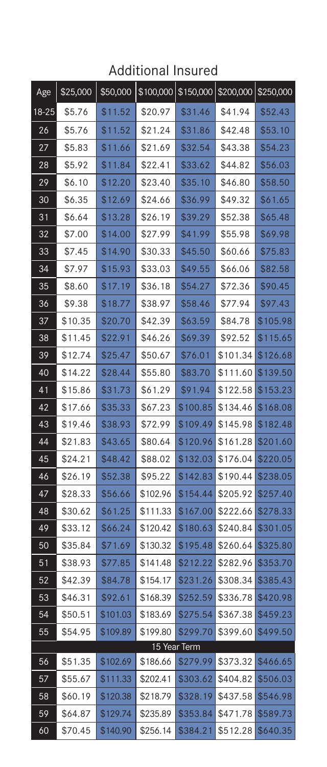### Additional Insured

| Age   | \$25,000 | \$50,000 |          | $$100,000$ $$150,000$ $$200,000$ $$250,000$ |          |          |
|-------|----------|----------|----------|---------------------------------------------|----------|----------|
| 18-25 | \$5.76   | \$11.52  | \$20.97  | \$31.46                                     | \$41.94  | \$52.43  |
| 26    | \$5.76   | \$11.52  | \$21.24  | \$31.86                                     | \$42.48  | \$53.10  |
| 27    | \$5.83   | \$11.66  | \$21.69  | \$32.54                                     | \$43.38  | \$54.23  |
| 28    | \$5.92   | \$11.84  | \$22.41  | \$33.62                                     | \$44.82  | \$56.03  |
| 29    | \$6.10   | \$12.20  | \$23.40  | \$35.10                                     | \$46.80  | \$58.50  |
| 30    | \$6.35   | \$12.69  | \$24.66  | \$36.99                                     | \$49.32  | \$61.65  |
| 31    | \$6.64   | \$13.28  | \$26.19  | \$39.29                                     | \$52.38  | \$65.48  |
| 32    | \$7.00   | \$14.00  | \$27.99  | \$41.99                                     | \$55.98  | \$69.98  |
| 33    | \$7.45   | \$14.90  | \$30.33  | \$45.50                                     | \$60.66  | \$75.83  |
| 34    | \$7.97   | \$15.93  | \$33.03  | \$49.55                                     | \$66.06  | \$82.58  |
| 35    | \$8.60   | \$17.19  | \$36.18  | \$54.27                                     | \$72.36  | \$90.45  |
| 36    | \$9.38   | \$18.77  | \$38.97  | \$58.46                                     | \$77.94  | \$97.43  |
| 37    | \$10.35  | \$20.70  | \$42.39  | \$63.59                                     | \$84.78  | \$105.98 |
| 38    | \$11.45  | \$22.91  | \$46.26  | \$69.39                                     | \$92.52  | \$115.65 |
| 39    | \$12.74  | \$25.47  | \$50.67  | \$76.01                                     | \$101.34 | \$126.68 |
| 40    | \$14.22  | \$28.44  | \$55.80  | \$83.70                                     | \$111.60 | \$139.50 |
| 41    | \$15.86  | \$31.73  | \$61.29  | \$91.94                                     | \$122.58 | \$153.23 |
| 42    | \$17.66  | \$35.33  | \$67.23  | \$100.85                                    | \$134.46 | \$168.08 |
| 43    | \$19.46  | \$38.93  | \$72.99  | \$109.49                                    | \$145.98 | \$182.48 |
| 44    | \$21.83  | \$43.65  | \$80.64  | \$120.96                                    | \$161.28 | \$201.60 |
| 45    | \$24.21  | \$48.42  | \$88.02  | \$132.03                                    | \$176.04 | \$220.05 |
| 46    | \$26.19  | \$52.38  | \$95.22  | \$142.83                                    | \$190.44 | \$238.05 |
| 47    | \$28.33  | \$56.66  | \$102.96 | \$154.44                                    | \$205.92 | \$257.40 |
| 48    | \$30.62  | \$61.25  | \$111.33 | \$167.00                                    | \$222.66 | \$278.33 |
| 49    | \$33.12  | \$66.24  | \$120.42 | \$180.63                                    | \$240.84 | \$301.05 |
| 50    | \$35.84  | \$71.69  | \$130.32 | \$195.48                                    | \$260.64 | \$325.80 |
| 51    | \$38.93  | \$77.85  | \$141.48 | \$212.22                                    | \$282.96 | \$353.70 |
| 52    | \$42.39  | \$84.78  | \$154.17 | \$231.26                                    | \$308.34 | \$385.43 |
| 53    | \$46.31  | \$92.61  | \$168.39 | \$252.59                                    | \$336.78 | \$420.98 |
| 54    | \$50.51  | \$101.03 | \$183.69 | \$275.54                                    | \$367.38 | \$459.23 |
| 55    | \$54.95  | \$109.89 | \$199.80 | \$299.70                                    | \$399.60 | \$499.50 |
|       |          |          |          | 15 Year Term                                |          |          |
| 56    | \$51.35  | \$102.69 | \$186.66 | \$279.99                                    | \$373.32 | \$466.65 |
| 57    | \$55.67  | \$111.33 | \$202.41 | \$303.62                                    | \$404.82 | \$506.03 |
| 58    | \$60.19  | \$120.38 | \$218.79 | \$328.19                                    | \$437.58 | \$546.98 |
| 59    | \$64.87  | \$129.74 | \$235.89 | \$353.84                                    | \$471.78 | \$589.73 |
| 60    | \$70.45  | \$140.90 | \$256.14 | \$384.21                                    | \$512.28 | \$640.35 |